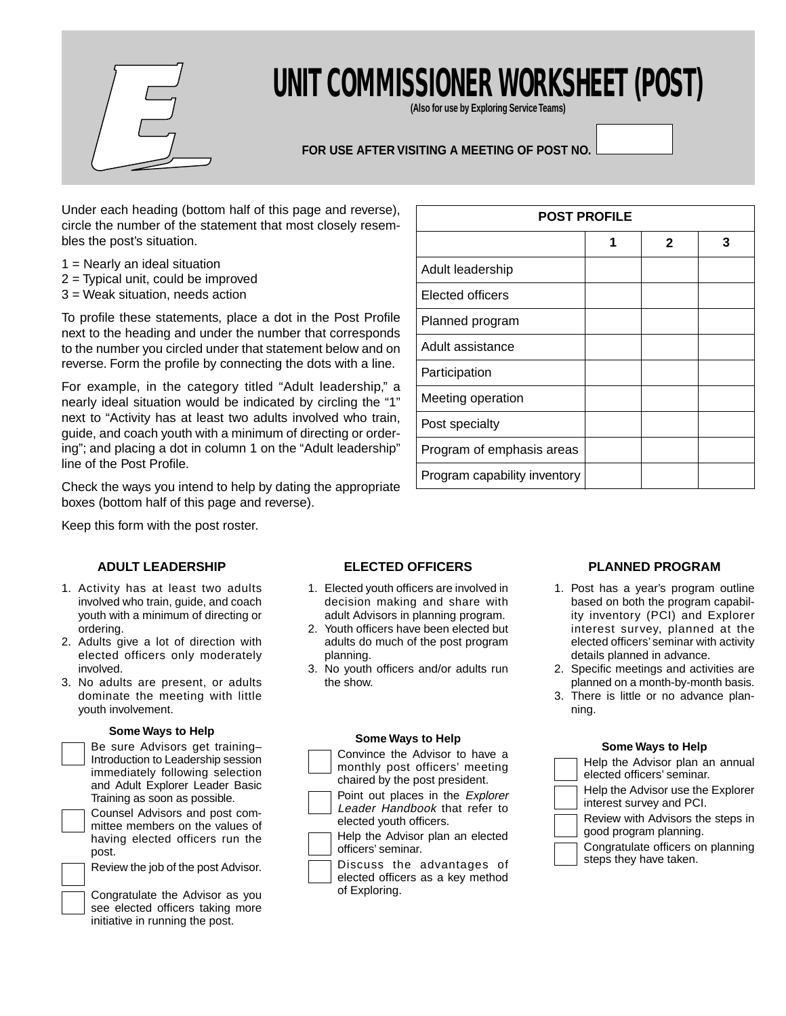

# **UNIT COMMISSIONER WORKSHEET (POST)**

**(Also for use by Exploring Service Teams)**

# **FOR USE AFTER VISITING A MEETING OF POST NO.**

Under each heading (bottom half of this page and reverse), circle the number of the statement that most closely resembles the post's situation.

- 1 = Nearly an ideal situation
- 2 = Typical unit, could be improved
- 3 = Weak situation, needs action

To profile these statements, place a dot in the Post Profile next to the heading and under the number that corresponds to the number you circled under that statement below and on reverse. Form the profile by connecting the dots with a line.

For example, in the category titled "Adult leadership," a nearly ideal situation would be indicated by circling the "1" next to "Activity has at least two adults involved who train, guide, and coach youth with a minimum of directing or ordering"; and placing a dot in column 1 on the "Adult leadership" line of the Post Profile.

Check the ways you intend to help by dating the appropriate boxes (bottom half of this page and reverse).

Keep this form with the post roster.

## **ADULT LEADERSHIP**

- 1. Activity has at least two adults involved who train, guide, and coach youth with a minimum of directing or ordering.
- 2. Adults give a lot of direction with elected officers only moderately involved.
- 3. No adults are present, or adults dominate the meeting with little youth involvement.

#### **Some Ways to Help**

|  | Be sure Advisors get training-<br>Introduction to Leadership session<br>immediately following selection<br>and Adult Explorer Leader Basic<br>Training as soon as possible. |
|--|-----------------------------------------------------------------------------------------------------------------------------------------------------------------------------|
|  | Counsel Advisors and post com-<br>mittee members on the values of<br>having elected officers run the<br>post.                                                               |
|  | Review the job of the post Advisor.                                                                                                                                         |

Congratulate the Advisor as you see elected officers taking more initiative in running the post.

| <b>POST PROFILE</b>          |   |              |   |
|------------------------------|---|--------------|---|
|                              | 1 | $\mathbf{2}$ | 3 |
| Adult leadership             |   |              |   |
| <b>Elected officers</b>      |   |              |   |
| Planned program              |   |              |   |
| Adult assistance             |   |              |   |
| Participation                |   |              |   |
| Meeting operation            |   |              |   |
| Post specialty               |   |              |   |
| Program of emphasis areas    |   |              |   |
| Program capability inventory |   |              |   |

# **ELECTED OFFICERS**

- 1. Elected youth officers are involved in decision making and share with adult Advisors in planning program.
- 2. Youth officers have been elected but adults do much of the post program planning.
- 3. No youth officers and/or adults run the show.

#### **Some Ways to Help**

- Convince the Advisor to have a monthly post officers' meeting chaired by the post president. Point out places in the Explorer
- Leader Handbook that refer to elected youth officers.
	- Help the Advisor plan an elected officers' seminar.
	- Discuss the advantages of elected officers as a key method of Exploring.

## **PLANNED PROGRAM**

- 1. Post has a year's program outline based on both the program capability inventory (PCI) and Explorer interest survey, planned at the elected officers' seminar with activity details planned in advance.
- 2. Specific meetings and activities are planned on a month-by-month basis.
- 3. There is little or no advance planning.